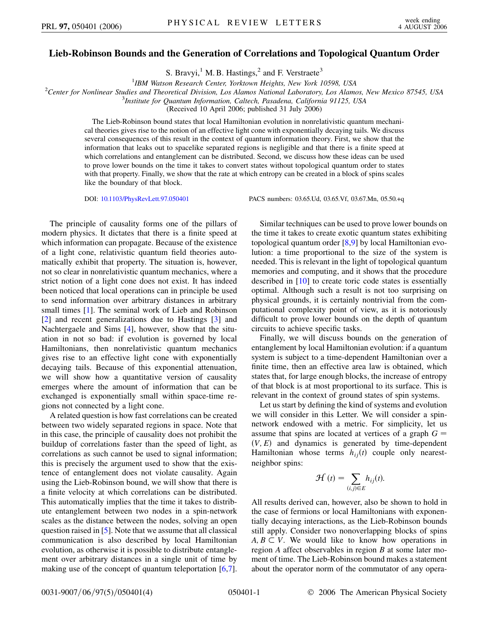## **Lieb-Robinson Bounds and the Generation of Correlations and Topological Quantum Order**

S. Bravyi,<sup>1</sup> M. B. Hastings,<sup>2</sup> and F. Verstraete<sup>3</sup>

<sup>1</sup>IBM Watson Research Center, Yorktown Heights, New York 10598, USA *IBM Watson Research Center, Yorktown Heights, New York 10598, USA*<br><sup>2</sup>Center for Noplinear Studies and Theoretical Division, Los Alamos National Laboratory, Los Alamo

*Center for Nonlinear Studies and Theoretical Division, Los Alamos National Laboratory, Los Alamos, New Mexico 87545, USA* <sup>3</sup>

*Institute for Quantum Information, Caltech, Pasadena, California 91125, USA*

(Received 10 April 2006; published 31 July 2006)

The Lieb-Robinson bound states that local Hamiltonian evolution in nonrelativistic quantum mechanical theories gives rise to the notion of an effective light cone with exponentially decaying tails. We discuss several consequences of this result in the context of quantum information theory. First, we show that the information that leaks out to spacelike separated regions is negligible and that there is a finite speed at which correlations and entanglement can be distributed. Second, we discuss how these ideas can be used to prove lower bounds on the time it takes to convert states without topological quantum order to states with that property. Finally, we show that the rate at which entropy can be created in a block of spins scales like the boundary of that block.

DOI: [10.1103/PhysRevLett.97.050401](http://dx.doi.org/10.1103/PhysRevLett.97.050401) PACS numbers: 03.65.Ud, 03.65.Vf, 03.67.Mn, 05.50.+q

The principle of causality forms one of the pillars of modern physics. It dictates that there is a finite speed at which information can propagate. Because of the existence of a light cone, relativistic quantum field theories automatically exhibit that property. The situation is, however, not so clear in nonrelativistic quantum mechanics, where a strict notion of a light cone does not exist. It has indeed been noticed that local operations can in principle be used to send information over arbitrary distances in arbitrary small times [[1](#page-3-0)]. The seminal work of Lieb and Robinson [\[2\]](#page-3-1) and recent generalizations due to Hastings [\[3](#page-3-2)] and Nachtergaele and Sims [[4](#page-3-3)], however, show that the situation in not so bad: if evolution is governed by local Hamiltonians, then nonrelativistic quantum mechanics gives rise to an effective light cone with exponentially decaying tails. Because of this exponential attenuation, we will show how a quantitative version of causality emerges where the amount of information that can be exchanged is exponentially small within space-time regions not connected by a light cone.

A related question is how fast correlations can be created between two widely separated regions in space. Note that in this case, the principle of causality does not prohibit the buildup of correlations faster than the speed of light, as correlations as such cannot be used to signal information; this is precisely the argument used to show that the existence of entanglement does not violate causality. Again using the Lieb-Robinson bound, we will show that there is a finite velocity at which correlations can be distributed. This automatically implies that the time it takes to distribute entanglement between two nodes in a spin-network scales as the distance between the nodes, solving an open question raised in [\[5](#page-3-4)]. Note that we assume that all classical communication is also described by local Hamiltonian evolution, as otherwise it is possible to distribute entanglement over arbitrary distances in a single unit of time by making use of the concept of quantum teleportation [[6](#page-3-5),[7\]](#page-3-6).

Similar techniques can be used to prove lower bounds on the time it takes to create exotic quantum states exhibiting topological quantum order [[8](#page-3-7),[9\]](#page-3-8) by local Hamiltonian evolution: a time proportional to the size of the system is needed. This is relevant in the light of topological quantum memories and computing, and it shows that the procedure described in [[10](#page-3-9)] to create toric code states is essentially optimal. Although such a result is not too surprising on physical grounds, it is certainly nontrivial from the computational complexity point of view, as it is notoriously difficult to prove lower bounds on the depth of quantum circuits to achieve specific tasks.

Finally, we will discuss bounds on the generation of entanglement by local Hamiltonian evolution: if a quantum system is subject to a time-dependent Hamiltonian over a finite time, then an effective area law is obtained, which states that, for large enough blocks, the increase of entropy of that block is at most proportional to its surface. This is relevant in the context of ground states of spin systems.

Let us start by defining the kind of systems and evolution we will consider in this Letter. We will consider a spinnetwork endowed with a metric. For simplicity, let us assume that spins are located at vertices of a graph *G*  $(V, E)$  and dynamics is generated by time-dependent Hamiltonian whose terms  $h_{ij}(t)$  couple only nearestneighbor spins:

$$
\mathcal{H}(t) = \sum_{(i,j)\in E} h_{ij}(t).
$$

All results derived can, however, also be shown to hold in the case of fermions or local Hamiltonians with exponentially decaying interactions, as the Lieb-Robinson bounds still apply. Consider two nonoverlapping blocks of spins  $A, B \subset V$ . We would like to know how operations in region *A* affect observables in region *B* at some later moment of time. The Lieb-Robinson bound makes a statement about the operator norm of the commutator of any opera-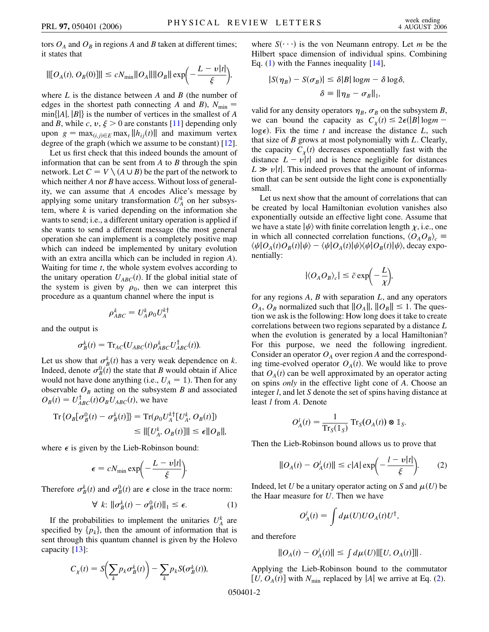tors  $O_A$  and  $O_B$  in regions *A* and *B* taken at different times; it states that

$$
\| [O_A(t), O_B(0)] \| \le c N_{\min} \| O_A \| \| O_B \| \exp \left(-\frac{L - v|t|}{\xi}\right),
$$

where *L* is the distance between *A* and *B* (the number of edges in the shortest path connecting *A* and *B*),  $N_{\text{min}} =$  $min\{|A|, |B|\}$  is the number of vertices in the smallest of *A* and *B*, while *c*, *v*,  $\xi > 0$  are constants [[11](#page-3-10)] depending only upon  $g = \max_{(i,j)\in E} \max_t ||h_{ij}(t)||$  and maximum vertex degree of the graph (which we assume to be constant) [[12\]](#page-3-11).

Let us first check that this indeed bounds the amount of information that can be sent from *A* to *B* through the spin network. Let  $C = V \setminus (A \cup B)$  be the part of the network to which neither *A* nor *B* have access. Without loss of generality, we can assume that *A* encodes Alice's message by applying some unitary transformation  $U_A^k$  on her subsystem, where *k* is varied depending on the information she wants to send; i.e., a different unitary operation is applied if she wants to send a different message (the most general operation she can implement is a completely positive map which can indeed be implemented by unitary evolution with an extra ancilla which can be included in region *A*). Waiting for time *t*, the whole system evolves according to the unitary operation  $U_{ABC}(t)$ . If the global initial state of the system is given by  $\rho_0$ , then we can interpret this procedure as a quantum channel where the input is

$$
\rho_{ABC}^k = U_A^k \rho_0 U_A^{k \dagger}
$$

and the output is

$$
\sigma_B^k(t) = \mathrm{Tr}_{AC}(U_{ABC}(t)\rho_{ABC}^k U_{ABC}^\dagger(t)).
$$

Let us show that  $\sigma_B^k(t)$  has a very weak dependence on *k*. Indeed, denote  $\sigma_B^0(t)$  the state that *B* would obtain if Alice would not have done anything (i.e.,  $U_A = \mathbb{1}$ ). Then for any observable  $O_B$  acting on the subsystem  $B$  and associated  $O_B(t) = U_{ABC}^{\dagger}(t)O_BU_{ABC}(t)$ , we have

$$
\begin{aligned} \operatorname{Tr}\{O_B[\sigma_B^0(t) - \sigma_B^k(t)]\} &= \operatorname{Tr}(\rho_0 U_A^{k\dagger}[U_A^k, O_B(t)]) \\ &\leq ||[U_A^k, O_B(t)]|| \leq \epsilon ||O_B||, \end{aligned}
$$

where  $\epsilon$  is given by the Lieb-Robinson bound:

$$
\epsilon = cN_{\min} \exp\biggl(-\frac{L-v|t|}{\xi}\biggr).
$$

<span id="page-1-0"></span>Therefore  $\sigma_B^k(t)$  and  $\sigma_B^0(t)$  are  $\epsilon$  close in the trace norm:

$$
\forall k: \|\sigma_B^k(t) - \sigma_B^0(t)\|_1 \le \epsilon. \tag{1}
$$

If the probabilities to implement the unitaries  $U_A^k$  are specified by  $\{p_k\}$ , then the amount of information that is sent through this quantum channel is given by the Holevo capacity [[13\]](#page-3-12):

$$
C_{\chi}(t) = S\left(\sum_{k} p_{k} \sigma_{B}^{k}(t)\right) - \sum_{k} p_{k} S(\sigma_{B}^{k}(t)),
$$

where  $S(\cdot \cdot \cdot)$  is the von Neumann entropy. Let *m* be the Hilbert space dimension of individual spins. Combining Eq.  $(1)$  $(1)$  with the Fannes inequality  $[14]$ ,

$$
|S(\eta_B) - S(\sigma_B)| \le \delta |B| \log m - \delta \log \delta,
$$
  

$$
\delta \equiv ||\eta_B - \sigma_B||_1,
$$

valid for any density operators  $\eta_B$ ,  $\sigma_B$  on the subsystem *B*, we can bound the capacity as  $C_{\chi}(t) \leq 2\epsilon (|B| \log m$ log $\epsilon$ ). Fix the time *t* and increase the distance *L*, such that size of *B* grows at most polynomially with *L*. Clearly, the capacity  $C_{\chi}(t)$  decreases exponentially fast with the distance  $L - v|t|$  and is hence negligible for distances  $L \gg v/t$ . This indeed proves that the amount of information that can be sent outside the light cone is exponentially small.

Let us next show that the amount of correlations that can be created by local Hamiltonian evolution vanishes also exponentially outside an effective light cone. Assume that we have a state  $|\psi\rangle$  with finite correlation length  $\chi$ , i.e., one in which all connected correlation functions,  $\langle O_A O_B \rangle_c \equiv$  $\langle \psi | O_A(t) O_B(t) | \psi \rangle - \langle \psi | O_A(t) | \psi \rangle \langle \psi | O_B(t) | \psi \rangle$ , decay exponentially:

$$
|\langle O_A O_B \rangle_c| \le \tilde{c} \exp\left(-\frac{L}{\chi}\right),\,
$$

for any regions *A*, *B* with separation *L*, and any operators  $O_A$ ,  $O_B$  normalized such that  $||O_A||$ ,  $||O_B|| \leq 1$ . The question we ask is the following: How long does it take to create correlations between two regions separated by a distance *L* when the evolution is generated by a local Hamiltonian? For this purpose, we need the following ingredient. Consider an operator  $O_A$  over region *A* and the corresponding time-evolved operator  $O_A(t)$ . We would like to prove that  $O_A(t)$  can be well approximated by an operator acting on spins *only* in the effective light cone of *A*. Choose an integer *l*, and let *S* denote the set of spins having distance at least *l* from *A*. Denote

$$
O_A^l(t) = \frac{1}{\operatorname{Tr}_S(\mathbb{1}_S)} \operatorname{Tr}_S(O_A(t)) \otimes \mathbb{1}_S.
$$

<span id="page-1-1"></span>Then the Lieb-Robinson bound allows us to prove that

$$
||O_A(t) - O_A^l(t)|| \le c|A| \exp\left(-\frac{l - v|t|}{\xi}\right).
$$
 (2)

Indeed, let U be a unitary operator acting on *S* and  $\mu(U)$  be the Haar measure for *U*. Then we have

$$
O_A^l(t) = \int d\mu(U) U O_A(t) U^{\dagger},
$$

and therefore

$$
||O_A(t) - O_A^l(t)|| \leq \int d\mu(U) ||[U, O_A(t)]||.
$$

Applying the Lieb-Robinson bound to the commutator [U,  $O_A(t)$ ] with  $N_{\text{min}}$  replaced by |*A*| we arrive at Eq. ([2](#page-1-1)).

050401-2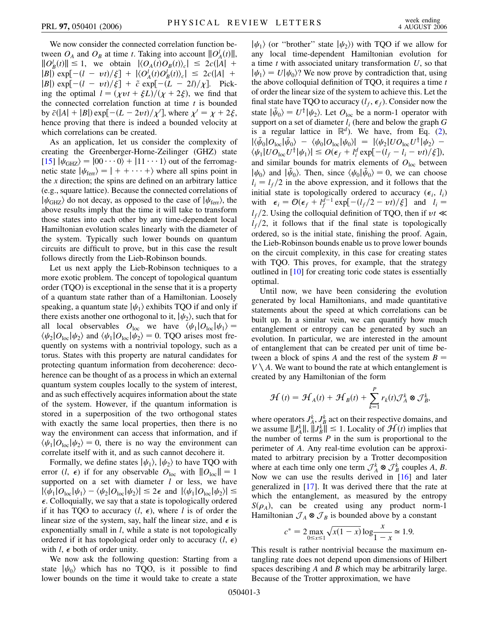We now consider the connected correlation function between  $O_A$  and  $O_B$  at time *t*. Taking into account  $||O_A^l(t)||$ ,  $||O_B^l(t)|| \le 1$ , we obtain  $|\langle O_A(t)O_B(t)\rangle_c| \le 2c(|A| +$  $|B|$ )  $\exp[-(l - vt)/\xi] + |\langle O_A^l(t)O_B^l(t)\rangle_c| \leq 2c(|A| + \xi)$  $|B|$  exp $[-(l - vt)/\xi] + \tilde{c}$  exp $[-(L - 2l)/\chi]$ . Picking the optimal  $l = (\chi vt + \xi L)/(\chi + 2\xi)$ , we find that the connected correlation function at time *t* is bounded by  $\bar{c}(|A| + |B|) \exp[-(L - 2vt)/\chi']$ , where  $\chi' = \chi + 2\xi$ , hence proving that there is indeed a bounded velocity at which correlations can be created.

As an application, let us consider the complexity of creating the Greenberger-Horne-Zeilinger (GHZ) state  $[15]$   $|\psi_{\text{GHZ}}\rangle = |00 \cdots 0\rangle + |11 \cdots 1\rangle$  out of the ferromagnetic state  $|\psi_{\text{ferr}}\rangle = | + + \cdots + \rangle$  where all spins point in the *x* direction; the spins are defined on an arbitrary lattice (e.g., square lattice). Because the connected correlations of  $|\psi_{\text{GHZ}}\rangle$  do not decay, as opposed to the case of  $|\psi_{\text{ferr}}\rangle$ , the above results imply that the time it will take to transform those states into each other by any time-dependent local Hamiltonian evolution scales linearly with the diameter of the system. Typically such lower bounds on quantum circuits are difficult to prove, but in this case the result follows directly from the Lieb-Robinson bounds.

Let us next apply the Lieb-Robinson techniques to a more exotic problem. The concept of topological quantum order (TQO) is exceptional in the sense that it is a property of a quantum state rather than of a Hamiltonian. Loosely speaking, a quantum state  $|\psi_1\rangle$  exhibits TQO if and only if there exists another one orthogonal to it,  $|\psi_2\rangle$ , such that for all local observables  $O_{\text{loc}}$  we have  $\langle \psi_1 | O_{\text{loc}} | \psi_1 \rangle =$  $\langle \psi_2 | O_{\text{loc}} | \psi_2 \rangle$  and  $\langle \psi_1 | O_{\text{loc}} | \psi_2 \rangle = 0$ . TQO arises most frequently on systems with a nontrivial topology, such as a torus. States with this property are natural candidates for protecting quantum information from decoherence: decoherence can be thought of as a process in which an external quantum system couples locally to the system of interest, and as such effectively acquires information about the state of the system. However, if the quantum information is stored in a superposition of the two orthogonal states with exactly the same local properties, then there is no way the environment can access that information, and if  $\langle \psi_1 | O_{\text{loc}} | \psi_2 \rangle = 0$ , there is no way the environment can correlate itself with it, and as such cannot decohere it.

Formally, we define states  $|\psi_1\rangle$ ,  $|\psi_2\rangle$  to have TQO with error  $(l, \epsilon)$  if for any observable  $O_{loc}$  with  $||O_{loc}|| = 1$ supported on a set with diameter *l* or less, we have  $|\langle \psi_1 | O_{\text{loc}} | \psi_1 \rangle - \langle \psi_2 | O_{\text{loc}} | \psi_2 \rangle| \leq 2\epsilon$  and  $|\langle \psi_1 | O_{\text{loc}} | \psi_2 \rangle| \leq$  $\epsilon$ . Colloquially, we say that a state is topologically ordered if it has TQO to accuracy  $(l, \epsilon)$ , where *l* is of order the linear size of the system, say, half the linear size, and  $\epsilon$  is exponentially small in *l*, while a state is not topologically ordered if it has topological order only to accuracy  $(l, \epsilon)$ with  $l$ ,  $\epsilon$  both of order unity.

We now ask the following question: Starting from a state  $|\psi_0\rangle$  which has no TQO, is it possible to find lower bounds on the time it would take to create a state  $|\psi_1\rangle$  (or "brother" state  $|\psi_2\rangle$ ) with TQO if we allow for any local time-dependent Hamiltonian evolution for a time *t* with associated unitary transformation *U*, so that  $|\psi_1\rangle = U|\psi_0\rangle$ ? We now prove by contradiction that, using the above colloquial definition of TQO, it requires a time *t* of order the linear size of the system to achieve this. Let the final state have TQO to accuracy  $(l_f, \epsilon_f)$ . Consider now the state  $|\psi_0\rangle = U^{\dagger}|\psi_2\rangle$ . Let  $O_{\text{loc}}$  be a norm-1 operator with support on a set of diameter  $l_i$  (here and below the graph  $G$ is a regular lattice in  $\mathbb{R}^d$ ). We have, from Eq. ([2\)](#page-1-1),  $|\langle \tilde{\psi}_0|O_{\text{loc}}|\tilde{\psi}_0\rangle - \langle \psi_0|O_{\text{loc}}|\psi_0\rangle| = |\langle \psi_2|U O_{\text{loc}}U^{\dagger}|\psi_2\rangle \langle \psi_1 | U O_{\text{loc}} U^{\dagger} | \psi_1 \rangle \leq O(\epsilon_f + l_i^d \exp[-(l_f - l_i - vt)/\xi]),$ and similar bounds for matrix elements of  $O<sub>loc</sub>$  between  $|\psi_0\rangle$  and  $|\tilde{\psi}_0\rangle$ . Then, since  $\langle \psi_0|\tilde{\psi}_0\rangle = 0$ , we can choose  $l_i = l_f/2$  in the above expression, and it follows that the initial state is topologically ordered to accuracy  $(\epsilon_i, l_i)$ with  $\epsilon_i = O(\epsilon_f + l_f^{d-1} \exp[-(l_f/2 - vt)/\xi]$  and  $l_i =$  $l_f/2$ . Using the colloquial definition of TQO, then if  $vt \ll$  $l_f/2$ , it follows that if the final state is topologically ordered, so is the initial state, finishing the proof. Again, the Lieb-Robinson bounds enable us to prove lower bounds on the circuit complexity, in this case for creating states with TQO. This proves, for example, that the strategy outlined in [[10](#page-3-9)] for creating toric code states is essentially optimal.

Until now, we have been considering the evolution generated by local Hamiltonians, and made quantitative statements about the speed at which correlations can be built up. In a similar vein, we can quantify how much entanglement or entropy can be generated by such an evolution. In particular, we are interested in the amount of entanglement that can be created per unit of time between a block of spins A and the rest of the system  $B =$  $V \setminus A$ . We want to bound the rate at which entanglement is created by any Hamiltonian of the form

$$
\mathcal{H}(t) = \mathcal{H}_A(t) + \mathcal{H}_B(t) + \sum_{k=1}^P r_k(t) \mathcal{J}_A^k \otimes \mathcal{J}_B^k,
$$

where operators  $J_A^k$ ,  $J_B^k$  act on their respective domains, and we assume  $||J_A^k||$ ,  $||J_B^k|| \le 1$ . Locality of  $\mathcal{H}(t)$  implies that the number of terms *P* in the sum is proportional to the perimeter of *A*. Any real-time evolution can be approximated to arbitrary precision by a Trotter decomposition where at each time only one term  $\mathcal{J}_A^k \otimes \mathcal{J}_B^k$  couples A, B. Now we can use the results derived in [[16\]](#page-3-15) and later generalized in [\[17\]](#page-3-16). It was derived there that the rate at which the entanglement, as measured by the entropy  $S(\rho_A)$ , can be created using any product norm-1 Hamiltonian  $\mathcal{J}_A \otimes \mathcal{J}_B$  is bounded above by a constant

$$
c^* = 2 \max_{0 \le x \le 1} \sqrt{x(1-x)} \log \frac{x}{1-x} \simeq 1.9.
$$

This result is rather nontrivial because the maximum entangling rate does not depend upon dimensions of Hilbert spaces describing *A* and *B* which may be arbitrarily large. Because of the Trotter approximation, we have